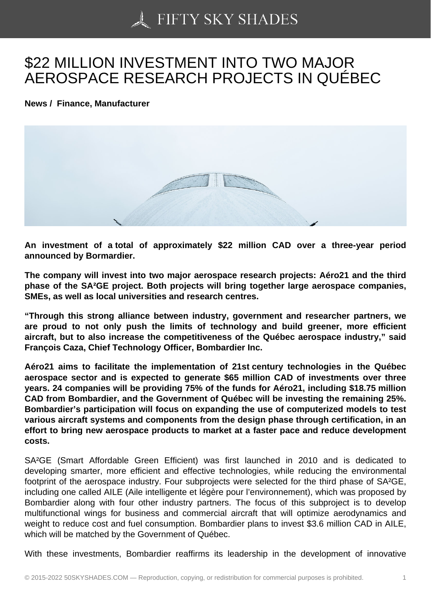## [\\$22 MILLION INVESTM](https://50skyshades.com)ENT INTO TWO MAJOR AEROSPACE RESEARCH PROJECTS IN QUÉBEC

News / Finance, Manufacturer

An investment of a total of approximately \$22 million CAD over a three-year period announced by Bormardier.

The company will invest into two major aerospace research projects: Aéro21 and the third phase of the SA²GE project. Both projects will bring together large aerospace companies, SMEs, as well as local universities and research centres.

"Through this strong alliance between industry, government and researcher partners, we are proud to not only push the limits of technology and build greener, more efficient aircraft, but to also increase the competitiveness of the Québec aerospace industry," said François Caza, Chief Technology Officer, Bombardier Inc.

Aéro21 aims to facilitate the implementation of 21st century technologies in the Québec aerospace sector and is expected to generate \$65 million CAD of investments over three years. 24 companies will be providing 75% of the funds for Aéro21, including \$18.75 million CAD from Bombardier, and the Government of Québec will be investing the remaining 25%. Bombardier's participation will focus on expanding the use of computerized models to test various aircraft systems and components from the design phase through certification, in an effort to bring new aerospace products to market at a faster pace and reduce development costs.

SA²GE (Smart Affordable Green Efficient) was first launched in 2010 and is dedicated to developing smarter, more efficient and effective technologies, while reducing the environmental footprint of the aerospace industry. Four subprojects were selected for the third phase of SA²GE, including one called AILE (Aile intelligente et légère pour l'environnement), which was proposed by Bombardier along with four other industry partners. The focus of this subproject is to develop multifunctional wings for business and commercial aircraft that will optimize aerodynamics and weight to reduce cost and fuel consumption. Bombardier plans to invest \$3.6 million CAD in AILE, which will be matched by the Government of Québec.

With these investments, Bombardier reaffirms its leadership in the development of innovative